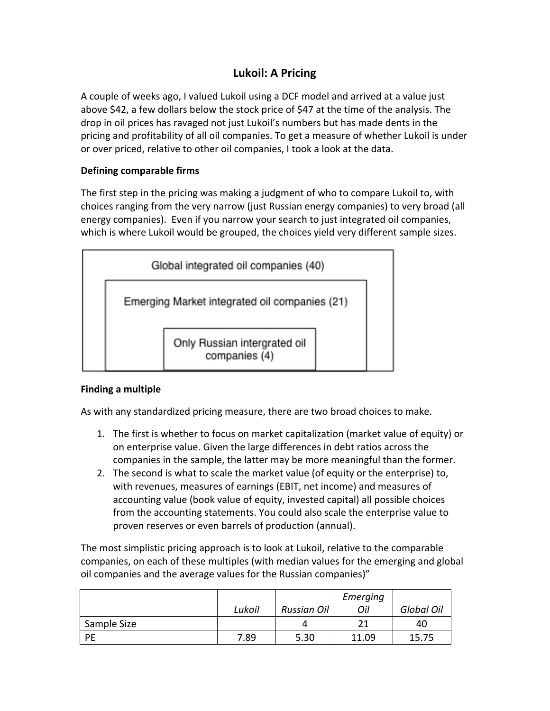# **Lukoil: A Pricing**

A couple of weeks ago, I valued Lukoil using a DCF model and arrived at a value just above \$42, a few dollars below the stock price of \$47 at the time of the analysis. The drop in oil prices has ravaged not just Lukoil's numbers but has made dents in the pricing and profitability of all oil companies. To get a measure of whether Lukoil is under or over priced, relative to other oil companies, I took a look at the data.

## **Defining comparable firms**

The first step in the pricing was making a judgment of who to compare Lukoil to, with choices ranging from the very narrow (just Russian energy companies) to very broad (all energy companies). Even if you narrow your search to just integrated oil companies, which is where Lukoil would be grouped, the choices yield very different sample sizes.



#### **Finding a multiple**

As with any standardized pricing measure, there are two broad choices to make.

- 1. The first is whether to focus on market capitalization (market value of equity) or on enterprise value. Given the large differences in debt ratios across the companies in the sample, the latter may be more meaningful than the former.
- 2. The second is what to scale the market value (of equity or the enterprise) to, with revenues, measures of earnings (EBIT, net income) and measures of accounting value (book value of equity, invested capital) all possible choices from the accounting statements. You could also scale the enterprise value to proven reserves or even barrels of production (annual).

The most simplistic pricing approach is to look at Lukoil, relative to the comparable companies, on each of these multiples (with median values for the emerging and global oil companies and the average values for the Russian companies)"

|             |        |                    | Emerging |            |
|-------------|--------|--------------------|----------|------------|
|             | Lukoil | <b>Russian Oil</b> | Oil      | Global Oil |
| Sample Size |        |                    |          | 40         |
| РF          | 7.89   | 5.30               | 11.09    | 15.75      |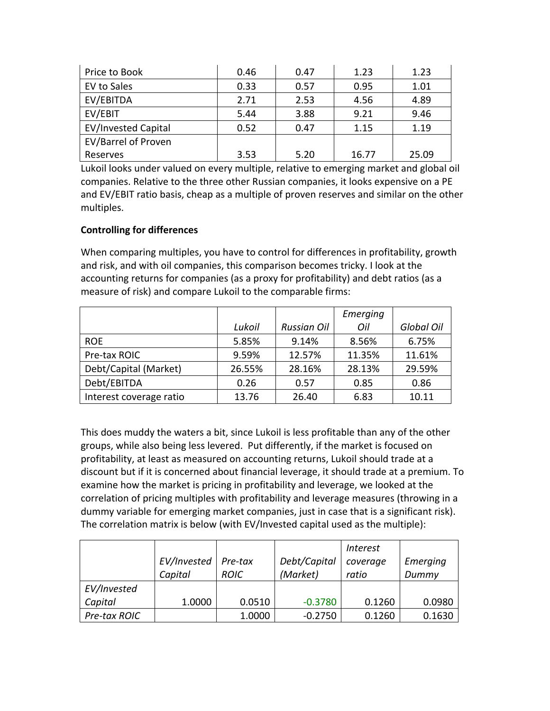| Price to Book              | 0.46 | 0.47 | 1.23  | 1.23  |
|----------------------------|------|------|-------|-------|
| EV to Sales                | 0.33 | 0.57 | 0.95  | 1.01  |
| EV/EBITDA                  | 2.71 | 2.53 | 4.56  | 4.89  |
| EV/EBIT                    | 5.44 | 3.88 | 9.21  | 9.46  |
| <b>EV/Invested Capital</b> | 0.52 | 0.47 | 1.15  | 1.19  |
| <b>EV/Barrel of Proven</b> |      |      |       |       |
| Reserves                   | 3.53 | 5.20 | 16.77 | 25.09 |

Lukoil looks under valued on every multiple, relative to emerging market and global oil companies. Relative to the three other Russian companies, it looks expensive on a PE and EV/EBIT ratio basis, cheap as a multiple of proven reserves and similar on the other multiples.

### **Controlling for differences**

When comparing multiples, you have to control for differences in profitability, growth and risk, and with oil companies, this comparison becomes tricky. I look at the accounting returns for companies (as a proxy for profitability) and debt ratios (as a measure of risk) and compare Lukoil to the comparable firms:

|                         |        |                    | Emerging |            |
|-------------------------|--------|--------------------|----------|------------|
|                         | Lukoil | <b>Russian Oil</b> | Oil      | Global Oil |
| <b>ROE</b>              | 5.85%  | 9.14%              | 8.56%    | 6.75%      |
| Pre-tax ROIC            | 9.59%  | 12.57%             | 11.35%   | 11.61%     |
| Debt/Capital (Market)   | 26.55% | 28.16%             | 28.13%   | 29.59%     |
| Debt/EBITDA             | 0.26   | 0.57               | 0.85     | 0.86       |
| Interest coverage ratio | 13.76  | 26.40              | 6.83     | 10.11      |

This does muddy the waters a bit, since Lukoil is less profitable than any of the other groups, while also being less levered. Put differently, if the market is focused on profitability, at least as measured on accounting returns, Lukoil should trade at a discount but if it is concerned about financial leverage, it should trade at a premium. To examine how the market is pricing in profitability and leverage, we looked at the correlation of pricing multiples with profitability and leverage measures (throwing in a dummy variable for emerging market companies, just in case that is a significant risk). The correlation matrix is below (with EV/Invested capital used as the multiple):

|              | EV/Invested<br>Capital | Pre-tax<br><b>ROIC</b> | Debt/Capital<br>(Market) | <i>Interest</i><br>coverage<br>ratio | Emerging<br>Dummy |
|--------------|------------------------|------------------------|--------------------------|--------------------------------------|-------------------|
| EV/Invested  |                        |                        |                          |                                      |                   |
| Capital      | 1.0000                 | 0.0510                 | $-0.3780$                | 0.1260                               | 0.0980            |
| Pre-tax ROIC |                        | 1.0000                 | $-0.2750$                | 0.1260                               | 0.1630            |